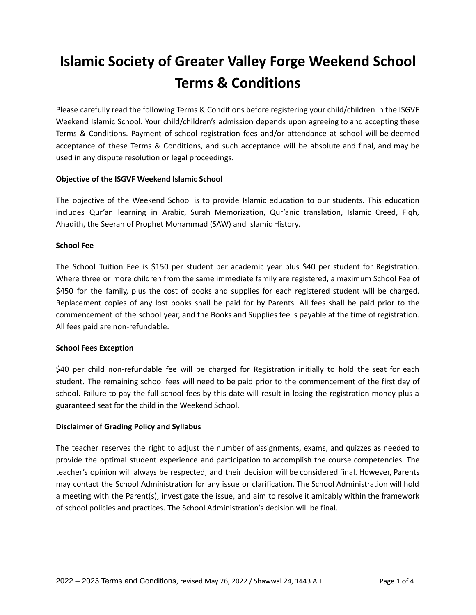# **Islamic Society of Greater Valley Forge Weekend School Terms & Conditions**

Please carefully read the following Terms & Conditions before registering your child/children in the ISGVF Weekend Islamic School. Your child/children's admission depends upon agreeing to and accepting these Terms & Conditions. Payment of school registration fees and/or attendance at school will be deemed acceptance of these Terms & Conditions, and such acceptance will be absolute and final, and may be used in any dispute resolution or legal proceedings.

# **Objective of the ISGVF Weekend Islamic School**

The objective of the Weekend School is to provide Islamic education to our students. This education includes Qur'an learning in Arabic, Surah Memorization, Qur'anic translation, Islamic Creed, Fiqh, Ahadith, the Seerah of Prophet Mohammad (SAW) and Islamic History.

# **School Fee**

The School Tuition Fee is \$150 per student per academic year plus \$40 per student for Registration. Where three or more children from the same immediate family are registered, a maximum School Fee of \$450 for the family, plus the cost of books and supplies for each registered student will be charged. Replacement copies of any lost books shall be paid for by Parents. All fees shall be paid prior to the commencement of the school year, and the Books and Supplies fee is payable at the time of registration. All fees paid are non-refundable.

### **School Fees Exception**

\$40 per child non-refundable fee will be charged for Registration initially to hold the seat for each student. The remaining school fees will need to be paid prior to the commencement of the first day of school. Failure to pay the full school fees by this date will result in losing the registration money plus a guaranteed seat for the child in the Weekend School.

### **Disclaimer of Grading Policy and Syllabus**

The teacher reserves the right to adjust the number of assignments, exams, and quizzes as needed to provide the optimal student experience and participation to accomplish the course competencies. The teacher's opinion will always be respected, and their decision will be considered final. However, Parents may contact the School Administration for any issue or clarification. The School Administration will hold a meeting with the Parent(s), investigate the issue, and aim to resolve it amicably within the framework of school policies and practices. The School Administration's decision will be final.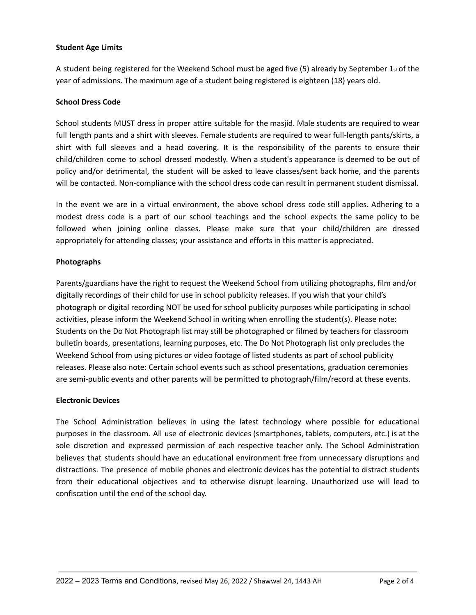### **Student Age Limits**

A student being registered for the Weekend School must be aged five (5) already by September 1st of the year of admissions. The maximum age of a student being registered is eighteen (18) years old.

### **School Dress Code**

School students MUST dress in proper attire suitable for the masjid. Male students are required to wear full length pants and a shirt with sleeves. Female students are required to wear full-length pants/skirts, a shirt with full sleeves and a head covering. It is the responsibility of the parents to ensure their child/children come to school dressed modestly. When a student's appearance is deemed to be out of policy and/or detrimental, the student will be asked to leave classes/sent back home, and the parents will be contacted. Non-compliance with the school dress code can result in permanent student dismissal.

In the event we are in a virtual environment, the above school dress code still applies. Adhering to a modest dress code is a part of our school teachings and the school expects the same policy to be followed when joining online classes. Please make sure that your child/children are dressed appropriately for attending classes; your assistance and efforts in this matter is appreciated.

### **Photographs**

Parents/guardians have the right to request the Weekend School from utilizing photographs, film and/or digitally recordings of their child for use in school publicity releases. If you wish that your child's photograph or digital recording NOT be used for school publicity purposes while participating in school activities, please inform the Weekend School in writing when enrolling the student(s). Please note: Students on the Do Not Photograph list may still be photographed or filmed by teachers for classroom bulletin boards, presentations, learning purposes, etc. The Do Not Photograph list only precludes the Weekend School from using pictures or video footage of listed students as part of school publicity releases. Please also note: Certain school events such as school presentations, graduation ceremonies are semi-public events and other parents will be permitted to photograph/film/record at these events.

#### **Electronic Devices**

The School Administration believes in using the latest technology where possible for educational purposes in the classroom. All use of electronic devices (smartphones, tablets, computers, etc.) is at the sole discretion and expressed permission of each respective teacher only. The School Administration believes that students should have an educational environment free from unnecessary disruptions and distractions. The presence of mobile phones and electronic devices has the potential to distract students from their educational objectives and to otherwise disrupt learning. Unauthorized use will lead to confiscation until the end of the school day.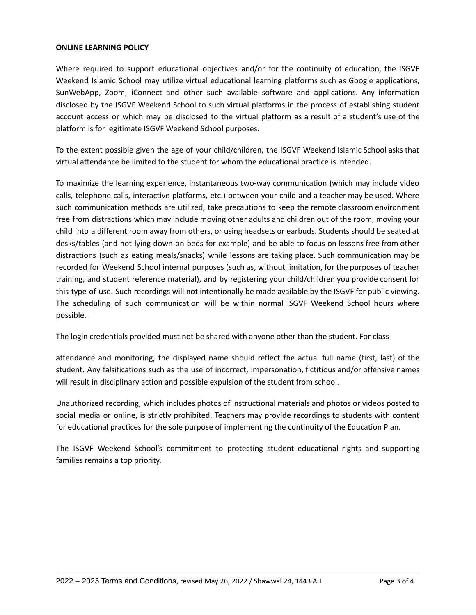#### **ONLINE LEARNING POLICY**

Where required to support educational objectives and/or for the continuity of education, the ISGVF Weekend Islamic School may utilize virtual educational learning platforms such as Google applications, SunWebApp, Zoom, iConnect and other such available software and applications. Any information disclosed by the ISGVF Weekend School to such virtual platforms in the process of establishing student account access or which may be disclosed to the virtual platform as a result of a student's use of the platform is for legitimate ISGVF Weekend School purposes.

To the extent possible given the age of your child/children, the ISGVF Weekend Islamic School asks that virtual attendance be limited to the student for whom the educational practice is intended.

To maximize the learning experience, instantaneous two-way communication (which may include video calls, telephone calls, interactive platforms, etc.) between your child and a teacher may be used. Where such communication methods are utilized, take precautions to keep the remote classroom environment free from distractions which may include moving other adults and children out of the room, moving your child into a different room away from others, or using headsets or earbuds. Students should be seated at desks/tables (and not lying down on beds for example) and be able to focus on lessons free from other distractions (such as eating meals/snacks) while lessons are taking place. Such communication may be recorded for Weekend School internal purposes (such as, without limitation, for the purposes of teacher training, and student reference material), and by registering your child/children you provide consent for this type of use. Such recordings will not intentionally be made available by the ISGVF for public viewing. The scheduling of such communication will be within normal ISGVF Weekend School hours where possible.

The login credentials provided must not be shared with anyone other than the student. For class

attendance and monitoring, the displayed name should reflect the actual full name (first, last) of the student. Any falsifications such as the use of incorrect, impersonation, fictitious and/or offensive names will result in disciplinary action and possible expulsion of the student from school.

Unauthorized recording, which includes photos of instructional materials and photos or videos posted to social media or online, is strictly prohibited. Teachers may provide recordings to students with content for educational practices for the sole purpose of implementing the continuity of the Education Plan.

The ISGVF Weekend School's commitment to protecting student educational rights and supporting families remains a top priority.